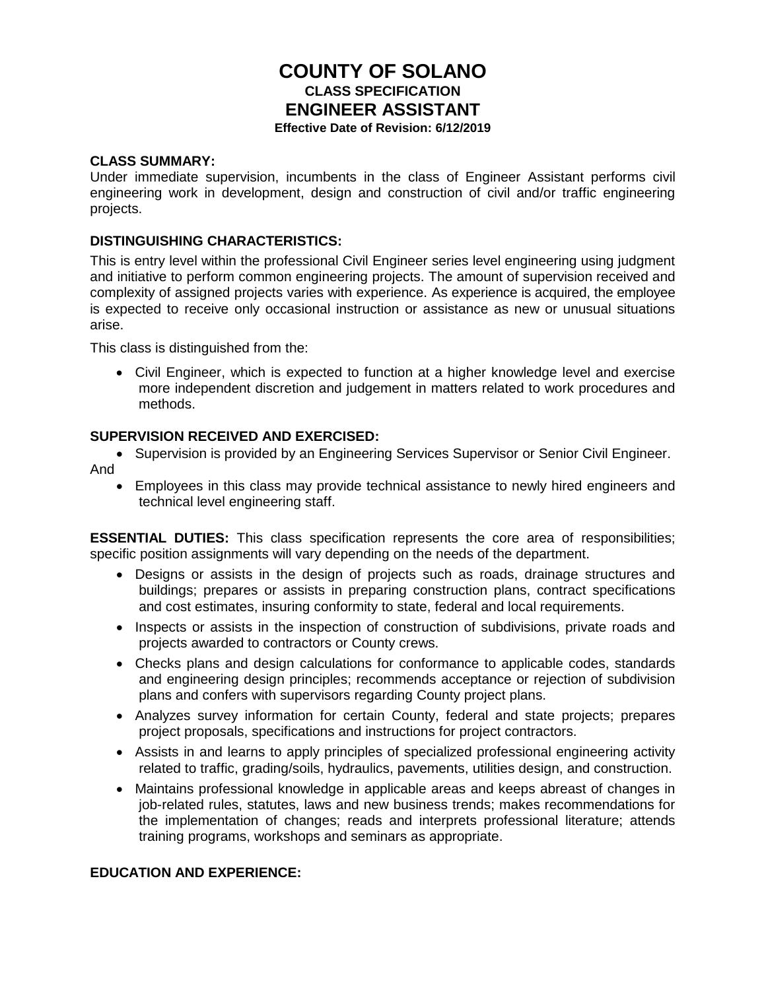# **COUNTY OF SOLANO CLASS SPECIFICATION ENGINEER ASSISTANT Effective Date of Revision: 6/12/2019**

#### **CLASS SUMMARY:**

Under immediate supervision, incumbents in the class of Engineer Assistant performs civil engineering work in development, design and construction of civil and/or traffic engineering projects.

### **DISTINGUISHING CHARACTERISTICS:**

This is entry level within the professional Civil Engineer series level engineering using judgment and initiative to perform common engineering projects. The amount of supervision received and complexity of assigned projects varies with experience. As experience is acquired, the employee is expected to receive only occasional instruction or assistance as new or unusual situations arise.

This class is distinguished from the:

• Civil Engineer, which is expected to function at a higher knowledge level and exercise more independent discretion and judgement in matters related to work procedures and methods.

#### **SUPERVISION RECEIVED AND EXERCISED:**

- Supervision is provided by an Engineering Services Supervisor or Senior Civil Engineer.
- And
	- Employees in this class may provide technical assistance to newly hired engineers and technical level engineering staff.

**ESSENTIAL DUTIES:** This class specification represents the core area of responsibilities; specific position assignments will vary depending on the needs of the department.

- Designs or assists in the design of projects such as roads, drainage structures and buildings; prepares or assists in preparing construction plans, contract specifications and cost estimates, insuring conformity to state, federal and local requirements.
- Inspects or assists in the inspection of construction of subdivisions, private roads and projects awarded to contractors or County crews.
- Checks plans and design calculations for conformance to applicable codes, standards and engineering design principles; recommends acceptance or rejection of subdivision plans and confers with supervisors regarding County project plans.
- Analyzes survey information for certain County, federal and state projects; prepares project proposals, specifications and instructions for project contractors.
- Assists in and learns to apply principles of specialized professional engineering activity related to traffic, grading/soils, hydraulics, pavements, utilities design, and construction.
- Maintains professional knowledge in applicable areas and keeps abreast of changes in job-related rules, statutes, laws and new business trends; makes recommendations for the implementation of changes; reads and interprets professional literature; attends training programs, workshops and seminars as appropriate.

#### **EDUCATION AND EXPERIENCE:**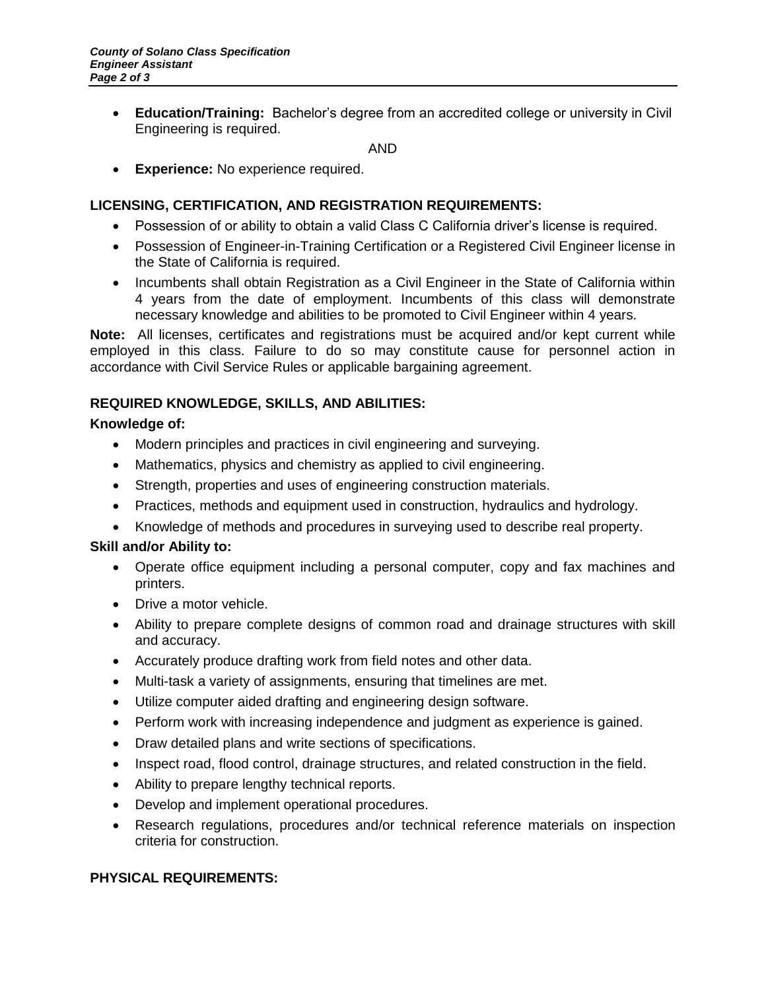• **Education/Training:** Bachelor's degree from an accredited college or university in Civil Engineering is required.

AND

• **Experience:** No experience required.

## **LICENSING, CERTIFICATION, AND REGISTRATION REQUIREMENTS:**

- Possession of or ability to obtain a valid Class C California driver's license is required.
- Possession of Engineer-in-Training Certification or a Registered Civil Engineer license in the State of California is required.
- Incumbents shall obtain Registration as a Civil Engineer in the State of California within 4 years from the date of employment. Incumbents of this class will demonstrate necessary knowledge and abilities to be promoted to Civil Engineer within 4 years.

**Note:** All licenses, certificates and registrations must be acquired and/or kept current while employed in this class. Failure to do so may constitute cause for personnel action in accordance with Civil Service Rules or applicable bargaining agreement.

## **REQUIRED KNOWLEDGE, SKILLS, AND ABILITIES:**

### **Knowledge of:**

- Modern principles and practices in civil engineering and surveying.
- Mathematics, physics and chemistry as applied to civil engineering.
- Strength, properties and uses of engineering construction materials.
- Practices, methods and equipment used in construction, hydraulics and hydrology.
- Knowledge of methods and procedures in surveying used to describe real property.

### **Skill and/or Ability to:**

- Operate office equipment including a personal computer, copy and fax machines and printers.
- Drive a motor vehicle.
- Ability to prepare complete designs of common road and drainage structures with skill and accuracy.
- Accurately produce drafting work from field notes and other data.
- Multi-task a variety of assignments, ensuring that timelines are met.
- Utilize computer aided drafting and engineering design software.
- Perform work with increasing independence and judgment as experience is gained.
- Draw detailed plans and write sections of specifications.
- Inspect road, flood control, drainage structures, and related construction in the field.
- Ability to prepare lengthy technical reports.
- Develop and implement operational procedures.
- Research regulations, procedures and/or technical reference materials on inspection criteria for construction.

## **PHYSICAL REQUIREMENTS:**